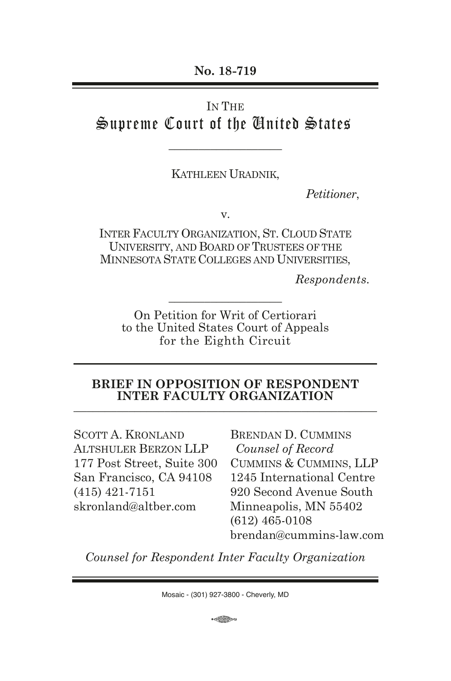#### IN THE

# Supreme Court of the United States

\_\_\_\_\_\_\_\_\_\_\_\_\_\_\_\_\_\_\_

KATHLEEN URADNIK,

*Petitioner*,

v.

INTER FACULTY ORGANIZATION, ST. CLOUD STATE UNIVERSITY, AND BOARD OF TRUSTEES OF THE MINNESOTA STATE COLLEGES AND UNIVERSITIES,

*Respondents.*

On Petition for Writ of Certiorari to the United States Court of Appeals for the Eighth Circuit

\_\_\_\_\_\_\_\_\_\_\_\_\_\_\_\_\_\_\_

#### **BRIEF IN OPPOSITION OF RESPONDENT INTER FACULTY ORGANIZATION**

SCOTT A. KRONLAND ALTSHULER BERZON LLP 177 Post Street, Suite 300 San Francisco, CA 94108 (415) 421-7151 skronland@altber.com

BRENDAN D. CUMMINS *Counsel of Record* CUMMINS & CUMMINS, LLP 1245 International Centre 920 Second Avenue South Minneapolis, MN 55402 (612) 465-0108 brendan@cummins-law.com

*Counsel for Respondent Inter Faculty Organization*

**COD**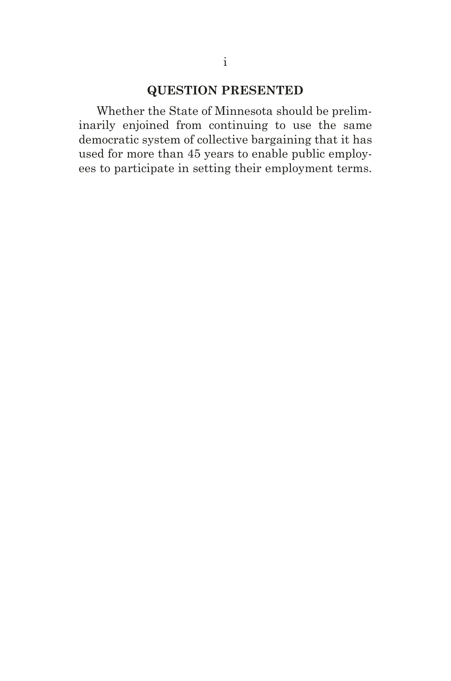# **QUESTION PRESENTED**

Whether the State of Minnesota should be preliminarily enjoined from continuing to use the same democratic system of collective bargaining that it has used for more than 45 years to enable public employees to participate in setting their employment terms.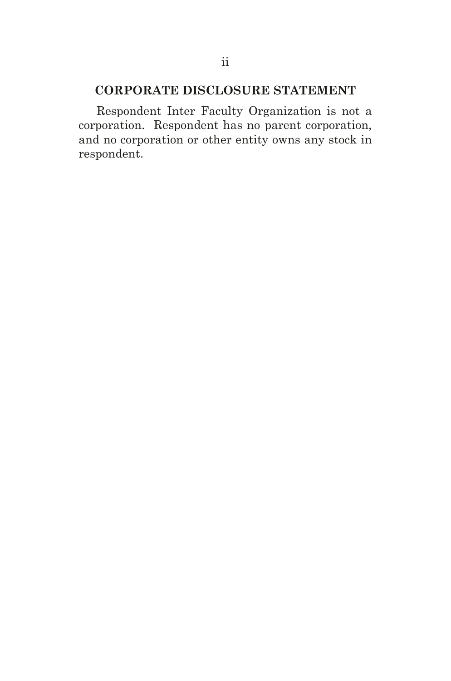# **CORPORATE DISCLOSURE STATEMENT**

Respondent Inter Faculty Organization is not a corporation. Respondent has no parent corporation, and no corporation or other entity owns any stock in respondent.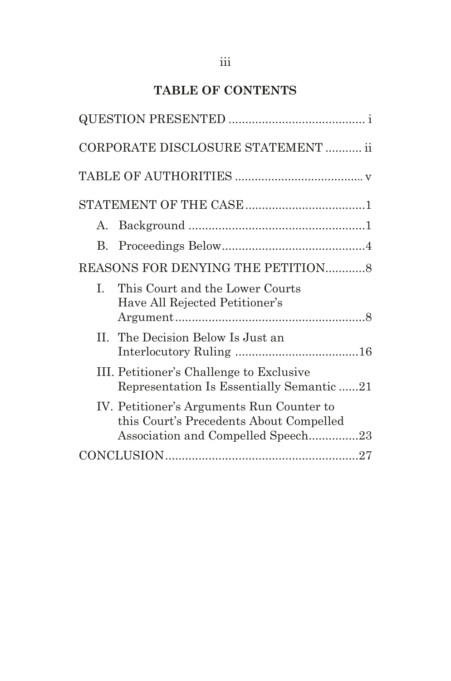# **TABLE OF CONTENTS**

|             | CORPORATE DISCLOSURE STATEMENT  ii                                                                                         |
|-------------|----------------------------------------------------------------------------------------------------------------------------|
|             |                                                                                                                            |
|             |                                                                                                                            |
| $A_{\cdot}$ |                                                                                                                            |
| $B_{\cdot}$ |                                                                                                                            |
|             | REASONS FOR DENYING THE PETITION8                                                                                          |
| L           | This Court and the Lower Courts<br>Have All Rejected Petitioner's                                                          |
|             | II. The Decision Below Is Just an                                                                                          |
|             | III. Petitioner's Challenge to Exclusive<br>Representation Is Essentially Semantic21                                       |
|             | IV. Petitioner's Arguments Run Counter to<br>this Court's Precedents About Compelled<br>Association and Compelled Speech23 |
|             |                                                                                                                            |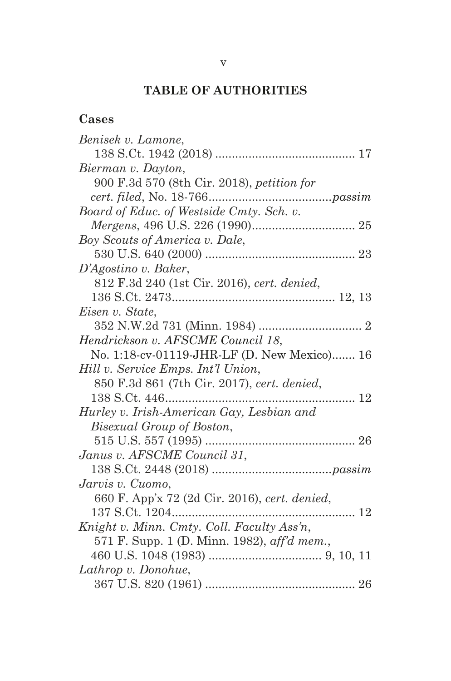# **TABLE OF AUTHORITIES**

| г<br>× |  |
|--------|--|
|--------|--|

| Benisek v. Lamone,                            |
|-----------------------------------------------|
|                                               |
| Bierman v. Dayton,                            |
| 900 F.3d 570 (8th Cir. 2018), petition for    |
|                                               |
| Board of Educ. of Westside Cmty. Sch. v.      |
|                                               |
| Boy Scouts of America v. Dale,                |
|                                               |
| D'Agostino v. Baker,                          |
| 812 F.3d 240 (1st Cir. 2016), cert. denied,   |
|                                               |
| Eisen v. State,                               |
|                                               |
| Hendrickson v. AFSCME Council 18,             |
| No. 1:18-cv-01119-JHR-LF (D. New Mexico) 16   |
| Hill v. Service Emps. Int'l Union,            |
| 850 F.3d 861 (7th Cir. 2017), cert. denied,   |
|                                               |
| Hurley v. Irish-American Gay, Lesbian and     |
| Bisexual Group of Boston,                     |
|                                               |
| Janus v. AFSCME Council 31,                   |
|                                               |
| Jarvis v. Cuomo,                              |
| 660 F. App'x 72 (2d Cir. 2016), cert. denied, |
| 12                                            |
| Knight v. Minn. Cmty. Coll. Faculty Ass'n,    |
| 571 F. Supp. 1 (D. Minn. 1982), aff'd mem.,   |
|                                               |
| Lathrop v. Donohue,                           |
|                                               |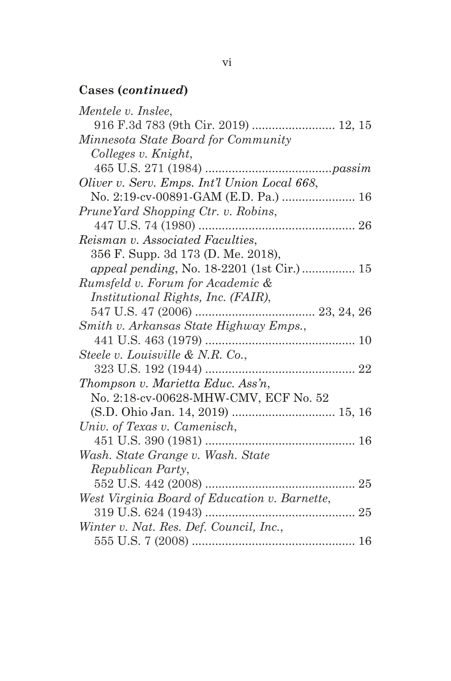# **Cases (***continued***)**

| Mentele v. Inslee,                            |
|-----------------------------------------------|
| 916 F.3d 783 (9th Cir. 2019)  12, 15          |
| Minnesota State Board for Community           |
| Colleges v. Knight,                           |
|                                               |
| Oliver v. Serv. Emps. Int'l Union Local 668,  |
|                                               |
| PruneYard Shopping Ctr. v. Robins,            |
|                                               |
| Reisman v. Associated Faculties,              |
| 356 F. Supp. 3d 173 (D. Me. 2018),            |
| appeal pending, No. 18-2201 (1st Cir.)  15    |
| Rumsfeld v. Forum for Academic &              |
| Institutional Rights, Inc. (FAIR),            |
|                                               |
| Smith v. Arkansas State Highway Emps.,        |
|                                               |
| Steele v. Louisville & N.R. Co.,              |
| 323 U.S. 192 (1944)                           |
| Thompson v. Marietta Educ. Ass'n,             |
| No. 2:18-cv-00628-MHW-CMV, ECF No. 52         |
| (S.D. Ohio Jan. 14, 2019)  15, 16             |
| Univ. of Texas v. Camenisch,                  |
|                                               |
| Wash. State Grange v. Wash. State             |
| Republican Party,                             |
|                                               |
| West Virginia Board of Education v. Barnette, |
|                                               |
| Winter v. Nat. Res. Def. Council, Inc.,       |
|                                               |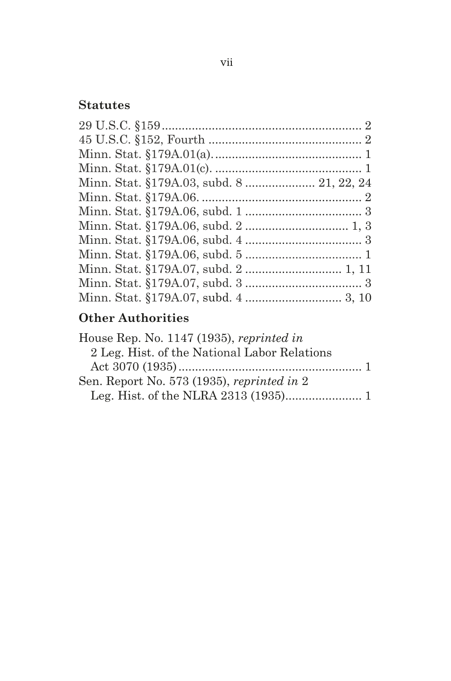#### vii

# **Statutes**

| Minn. Stat. §179A.03, subd. 8  21, 22, 24 |  |
|-------------------------------------------|--|
|                                           |  |
|                                           |  |
|                                           |  |
|                                           |  |
|                                           |  |
|                                           |  |
|                                           |  |
|                                           |  |
|                                           |  |

# **Other Authorities**

| House Rep. No. 1147 (1935), reprinted in     |  |
|----------------------------------------------|--|
| 2 Leg. Hist. of the National Labor Relations |  |
|                                              |  |
| Sen. Report No. 573 (1935), reprinted in $2$ |  |
|                                              |  |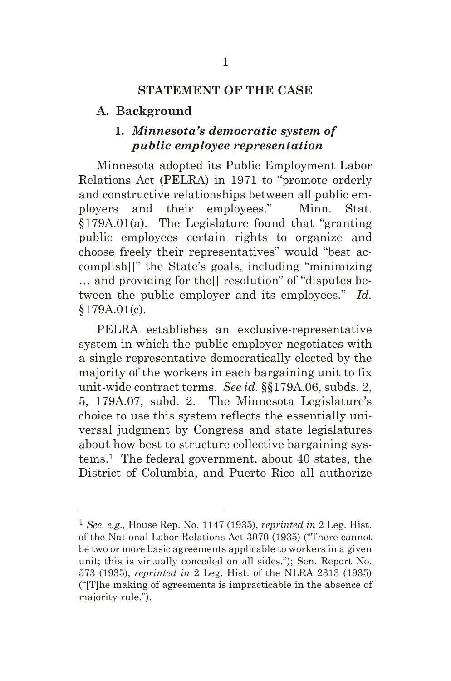#### **STATEMENT OF THE CASE**

#### **A. Background**

# **1.** *Minnesota's democratic system of public employee representation*

Minnesota adopted its Public Employment Labor Relations Act (PELRA) in 1971 to "promote orderly and constructive relationships between all public employers and their employees." Minn. Stat. §179A.01(a). The Legislature found that "granting public employees certain rights to organize and choose freely their representatives" would "best accomplish[]" the State's goals, including "minimizing … and providing for the[] resolution" of "disputes between the public employer and its employees." *Id.* §179A.01(c).

PELRA establishes an exclusive-representative system in which the public employer negotiates with a single representative democratically elected by the majority of the workers in each bargaining unit to fix unit-wide contract terms. *See id.* §§179A.06, subds. 2, 5, 179A.07, subd. 2. The Minnesota Legislature's choice to use this system reflects the essentially universal judgment by Congress and state legislatures about how best to structure collective bargaining systems.1 The federal government, about 40 states, the District of Columbia, and Puerto Rico all authorize

<sup>1</sup> *See, e.g.,* House Rep. No. 1147 (1935), *reprinted in* 2 Leg. Hist. of the National Labor Relations Act 3070 (1935) ("There cannot be two or more basic agreements applicable to workers in a given unit; this is virtually conceded on all sides."); Sen. Report No. 573 (1935), *reprinted in* 2 Leg. Hist. of the NLRA 2313 (1935) ("[T]he making of agreements is impracticable in the absence of majority rule.").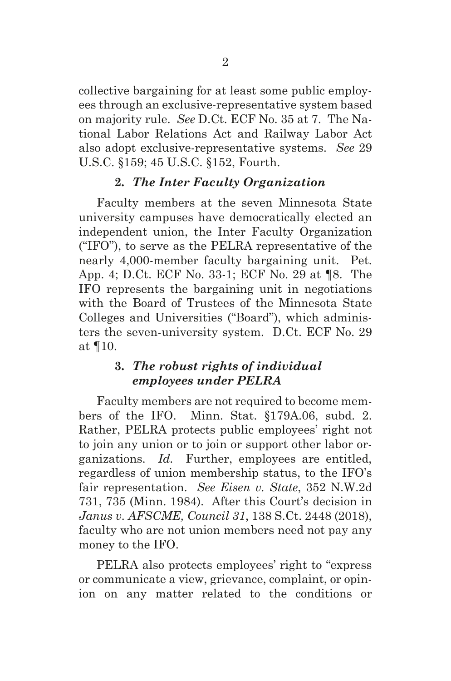collective bargaining for at least some public employees through an exclusive-representative system based on majority rule. *See* D.Ct. ECF No. 35 at 7. The National Labor Relations Act and Railway Labor Act also adopt exclusive-representative systems. *See* 29 U.S.C. §159; 45 U.S.C. §152, Fourth.

# **2.** *The Inter Faculty Organization*

Faculty members at the seven Minnesota State university campuses have democratically elected an independent union, the Inter Faculty Organization ("IFO"), to serve as the PELRA representative of the nearly 4,000-member faculty bargaining unit. Pet. App. 4; D.Ct. ECF No. 33-1; ECF No. 29 at ¶8. The IFO represents the bargaining unit in negotiations with the Board of Trustees of the Minnesota State Colleges and Universities ("Board"), which administers the seven-university system. D.Ct. ECF No. 29 at ¶10.

# **3.** *The robust rights of individual employees under PELRA*

Faculty members are not required to become members of the IFO. Minn. Stat. §179A.06, subd. 2. Rather, PELRA protects public employees' right not to join any union or to join or support other labor organizations. *Id.* Further, employees are entitled, regardless of union membership status, to the IFO's fair representation. *See Eisen v. State*, 352 N.W.2d 731, 735 (Minn. 1984). After this Court's decision in *Janus v. AFSCME, Council 31*, 138 S.Ct. 2448 (2018), faculty who are not union members need not pay any money to the IFO.

PELRA also protects employees' right to "express or communicate a view, grievance, complaint, or opinion on any matter related to the conditions or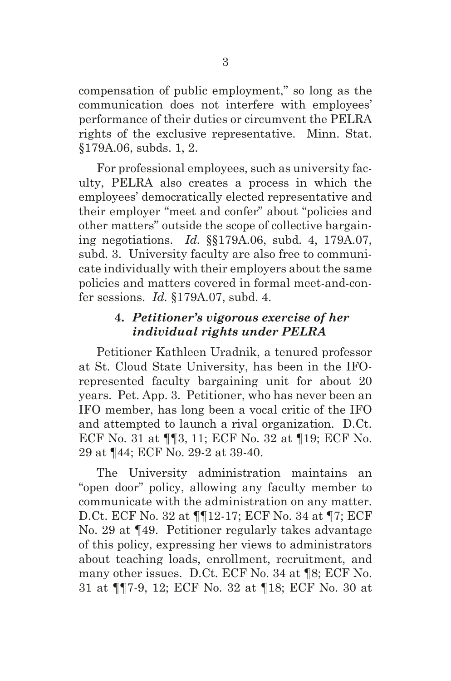compensation of public employment," so long as the communication does not interfere with employees' performance of their duties or circumvent the PELRA rights of the exclusive representative. Minn. Stat. §179A.06, subds. 1, 2.

For professional employees, such as university faculty, PELRA also creates a process in which the employees' democratically elected representative and their employer "meet and confer" about "policies and other matters" outside the scope of collective bargaining negotiations. *Id.* §§179A.06, subd. 4, 179A.07, subd. 3. University faculty are also free to communicate individually with their employers about the same policies and matters covered in formal meet-and-confer sessions. *Id.* §179A.07, subd. 4.

# **4.** *Petitioner's vigorous exercise of her individual rights under PELRA*

Petitioner Kathleen Uradnik, a tenured professor at St. Cloud State University, has been in the IFOrepresented faculty bargaining unit for about 20 years. Pet. App. 3. Petitioner, who has never been an IFO member, has long been a vocal critic of the IFO and attempted to launch a rival organization. D.Ct. ECF No. 31 at ¶¶3, 11; ECF No. 32 at ¶19; ECF No. 29 at ¶44; ECF No. 29-2 at 39-40.

The University administration maintains an "open door" policy, allowing any faculty member to communicate with the administration on any matter. D.Ct. ECF No. 32 at ¶¶12-17; ECF No. 34 at ¶7; ECF No. 29 at ¶49. Petitioner regularly takes advantage of this policy, expressing her views to administrators about teaching loads, enrollment, recruitment, and many other issues. D.Ct. ECF No. 34 at ¶8; ECF No. 31 at ¶¶7-9, 12; ECF No. 32 at ¶18; ECF No. 30 at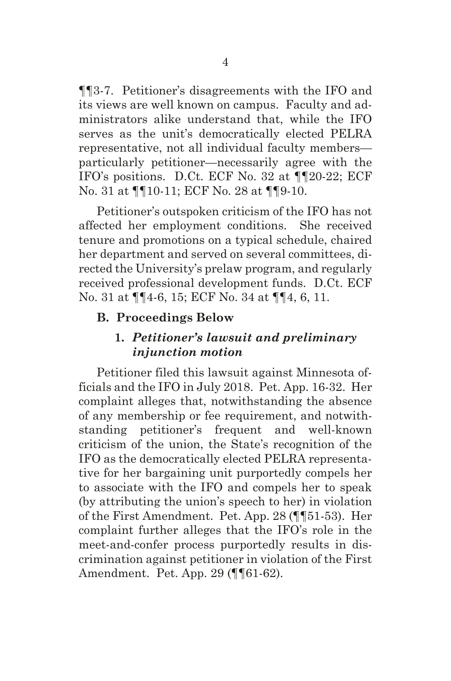¶¶3-7. Petitioner's disagreements with the IFO and its views are well known on campus. Faculty and administrators alike understand that, while the IFO serves as the unit's democratically elected PELRA representative, not all individual faculty members particularly petitioner—necessarily agree with the IFO's positions. D.Ct. ECF No. 32 at ¶¶20-22; ECF No. 31 at ¶¶10-11; ECF No. 28 at ¶¶9-10.

Petitioner's outspoken criticism of the IFO has not affected her employment conditions. She received tenure and promotions on a typical schedule, chaired her department and served on several committees, directed the University's prelaw program, and regularly received professional development funds. D.Ct. ECF No. 31 at ¶¶4-6, 15; ECF No. 34 at ¶¶4, 6, 11.

#### **B. Proceedings Below**

# **1.** *Petitioner's lawsuit and preliminary injunction motion*

Petitioner filed this lawsuit against Minnesota officials and the IFO in July 2018. Pet. App. 16-32. Her complaint alleges that, notwithstanding the absence of any membership or fee requirement, and notwithstanding petitioner's frequent and well-known criticism of the union, the State's recognition of the IFO as the democratically elected PELRA representative for her bargaining unit purportedly compels her to associate with the IFO and compels her to speak (by attributing the union's speech to her) in violation of the First Amendment. Pet. App. 28 (¶¶51-53). Her complaint further alleges that the IFO's role in the meet-and-confer process purportedly results in discrimination against petitioner in violation of the First Amendment. Pet. App. 29 (¶¶61-62).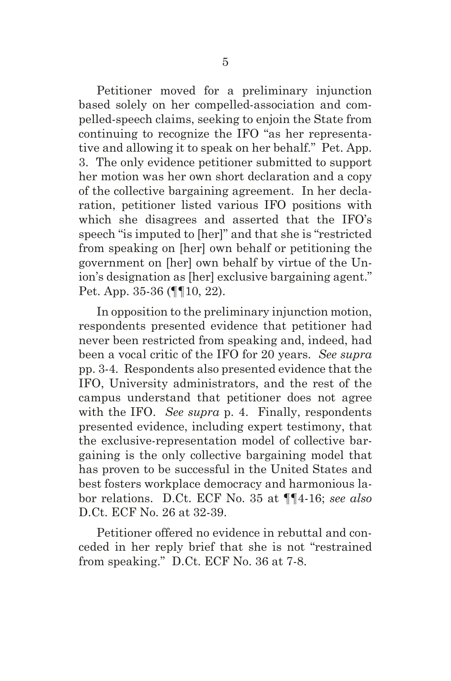Petitioner moved for a preliminary injunction based solely on her compelled-association and compelled-speech claims, seeking to enjoin the State from continuing to recognize the IFO "as her representative and allowing it to speak on her behalf." Pet. App. 3. The only evidence petitioner submitted to support her motion was her own short declaration and a copy of the collective bargaining agreement. In her declaration, petitioner listed various IFO positions with which she disagrees and asserted that the IFO's speech "is imputed to [her]" and that she is "restricted from speaking on [her] own behalf or petitioning the government on [her] own behalf by virtue of the Union's designation as [her] exclusive bargaining agent." Pet. App. 35-36 (¶¶10, 22).

In opposition to the preliminary injunction motion, respondents presented evidence that petitioner had never been restricted from speaking and, indeed, had been a vocal critic of the IFO for 20 years. *See supra* pp. 3-4*.* Respondents also presented evidence that the IFO, University administrators, and the rest of the campus understand that petitioner does not agree with the IFO. *See supra* p. 4. Finally, respondents presented evidence, including expert testimony, that the exclusive-representation model of collective bargaining is the only collective bargaining model that has proven to be successful in the United States and best fosters workplace democracy and harmonious labor relations. D.Ct. ECF No. 35 at ¶¶4-16; *see also* D.Ct. ECF No. 26 at 32-39.

Petitioner offered no evidence in rebuttal and conceded in her reply brief that she is not "restrained from speaking." D.Ct. ECF No. 36 at 7-8.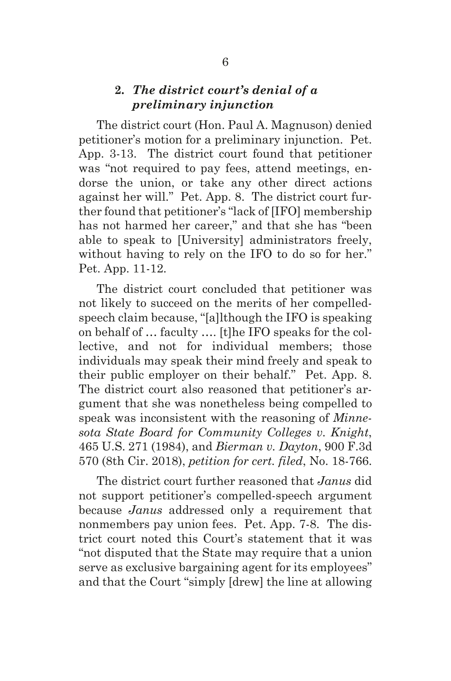### **2.** *The district court's denial of a preliminary injunction*

The district court (Hon. Paul A. Magnuson) denied petitioner's motion for a preliminary injunction. Pet. App. 3-13. The district court found that petitioner was "not required to pay fees, attend meetings, endorse the union, or take any other direct actions against her will." Pet. App. 8. The district court further found that petitioner's "lack of [IFO] membership has not harmed her career," and that she has "been able to speak to [University] administrators freely, without having to rely on the IFO to do so for her." Pet. App. 11-12.

The district court concluded that petitioner was not likely to succeed on the merits of her compelledspeech claim because, "[a]lthough the IFO is speaking on behalf of … faculty …. [t]he IFO speaks for the collective, and not for individual members; those individuals may speak their mind freely and speak to their public employer on their behalf." Pet. App. 8. The district court also reasoned that petitioner's argument that she was nonetheless being compelled to speak was inconsistent with the reasoning of *Minnesota State Board for Community Colleges v. Knight*, 465 U.S. 271 (1984), and *Bierman v. Dayton*, 900 F.3d 570 (8th Cir. 2018), *petition for cert. filed*, No. 18-766.

The district court further reasoned that *Janus* did not support petitioner's compelled-speech argument because *Janus* addressed only a requirement that nonmembers pay union fees. Pet. App. 7-8. The district court noted this Court's statement that it was "not disputed that the State may require that a union serve as exclusive bargaining agent for its employees" and that the Court "simply [drew] the line at allowing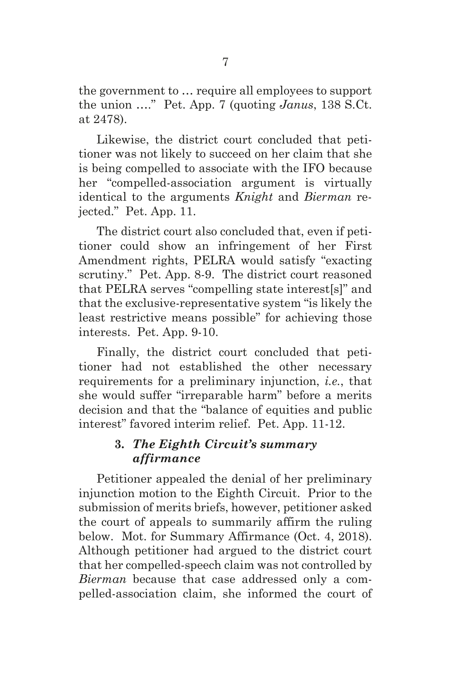the government to … require all employees to support the union …." Pet. App. 7 (quoting *Janus*, 138 S.Ct. at 2478).

Likewise, the district court concluded that petitioner was not likely to succeed on her claim that she is being compelled to associate with the IFO because her "compelled-association argument is virtually identical to the arguments *Knight* and *Bierman* rejected." Pet. App. 11.

The district court also concluded that, even if petitioner could show an infringement of her First Amendment rights, PELRA would satisfy "exacting scrutiny." Pet. App. 8-9. The district court reasoned that PELRA serves "compelling state interest[s]" and that the exclusive-representative system "is likely the least restrictive means possible" for achieving those interests. Pet. App. 9-10.

Finally, the district court concluded that petitioner had not established the other necessary requirements for a preliminary injunction, *i.e.*, that she would suffer "irreparable harm" before a merits decision and that the "balance of equities and public interest" favored interim relief. Pet. App. 11-12.

# **3.** *The Eighth Circuit's summary affirmance*

Petitioner appealed the denial of her preliminary injunction motion to the Eighth Circuit. Prior to the submission of merits briefs, however, petitioner asked the court of appeals to summarily affirm the ruling below. Mot. for Summary Affirmance (Oct. 4, 2018). Although petitioner had argued to the district court that her compelled-speech claim was not controlled by *Bierman* because that case addressed only a compelled-association claim, she informed the court of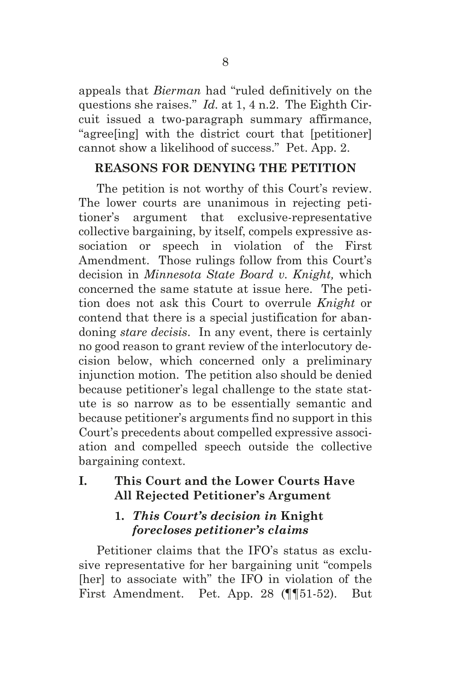appeals that *Bierman* had "ruled definitively on the questions she raises." *Id.* at 1, 4 n.2. The Eighth Circuit issued a two-paragraph summary affirmance, "agree[ing] with the district court that [petitioner] cannot show a likelihood of success." Pet. App. 2.

# **REASONS FOR DENYING THE PETITION**

The petition is not worthy of this Court's review. The lower courts are unanimous in rejecting petitioner's argument that exclusive-representative collective bargaining, by itself, compels expressive association or speech in violation of the First Amendment. Those rulings follow from this Court's decision in *Minnesota State Board v. Knight,* which concerned the same statute at issue here. The petition does not ask this Court to overrule *Knight* or contend that there is a special justification for abandoning *stare decisis*. In any event, there is certainly no good reason to grant review of the interlocutory decision below, which concerned only a preliminary injunction motion. The petition also should be denied because petitioner's legal challenge to the state statute is so narrow as to be essentially semantic and because petitioner's arguments find no support in this Court's precedents about compelled expressive association and compelled speech outside the collective bargaining context.

# **I. This Court and the Lower Courts Have All Rejected Petitioner's Argument**

# **1.** *This Court's decision in* **Knight** *forecloses petitioner's claims*

Petitioner claims that the IFO's status as exclusive representative for her bargaining unit "compels [her] to associate with" the IFO in violation of the First Amendment. Pet. App. 28 (¶¶51-52). But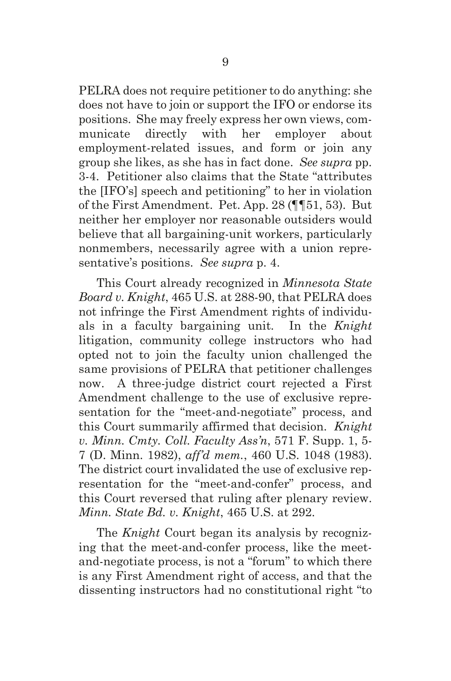PELRA does not require petitioner to do anything: she does not have to join or support the IFO or endorse its positions. She may freely express her own views, communicate directly with her employer about employment-related issues, and form or join any group she likes, as she has in fact done. *See supra* pp. 3-4. Petitioner also claims that the State "attributes the [IFO's] speech and petitioning" to her in violation of the First Amendment. Pet. App. 28 (¶¶51, 53). But neither her employer nor reasonable outsiders would believe that all bargaining-unit workers, particularly nonmembers, necessarily agree with a union representative's positions. *See supra* p. 4.

This Court already recognized in *Minnesota State Board v. Knight*, 465 U.S. at 288-90, that PELRA does not infringe the First Amendment rights of individuals in a faculty bargaining unit. In the *Knight* litigation, community college instructors who had opted not to join the faculty union challenged the same provisions of PELRA that petitioner challenges now. A three-judge district court rejected a First Amendment challenge to the use of exclusive representation for the "meet-and-negotiate" process, and this Court summarily affirmed that decision. *Knight v. Minn. Cmty. Coll. Faculty Ass'n*, 571 F. Supp. 1, 5- 7 (D. Minn. 1982), *aff'd mem.*, 460 U.S. 1048 (1983). The district court invalidated the use of exclusive representation for the "meet-and-confer" process, and this Court reversed that ruling after plenary review. *Minn. State Bd. v. Knight*, 465 U.S. at 292.

The *Knight* Court began its analysis by recognizing that the meet-and-confer process, like the meetand-negotiate process, is not a "forum" to which there is any First Amendment right of access, and that the dissenting instructors had no constitutional right "to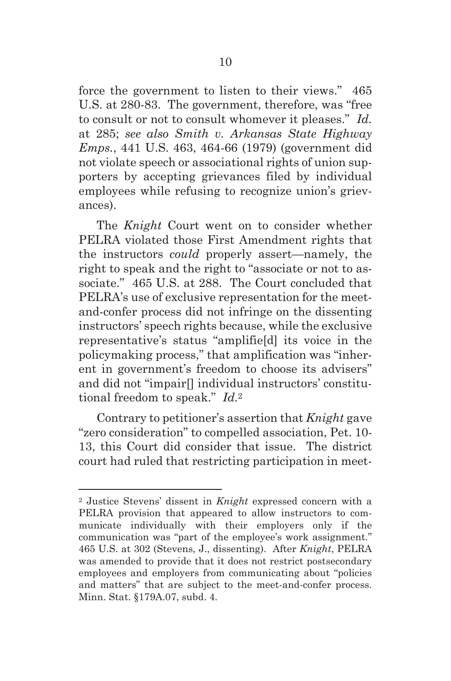force the government to listen to their views." 465 U.S. at 280-83. The government, therefore, was "free to consult or not to consult whomever it pleases." *Id.* at 285; *see also Smith v. Arkansas State Highway Emps.*, 441 U.S. 463, 464-66 (1979) (government did not violate speech or associational rights of union supporters by accepting grievances filed by individual employees while refusing to recognize union's grievances).

The *Knight* Court went on to consider whether PELRA violated those First Amendment rights that the instructors *could* properly assert—namely, the right to speak and the right to "associate or not to associate." 465 U.S. at 288. The Court concluded that PELRA's use of exclusive representation for the meetand-confer process did not infringe on the dissenting instructors' speech rights because, while the exclusive representative's status "amplifie[d] its voice in the policymaking process," that amplification was "inherent in government's freedom to choose its advisers" and did not "impair[] individual instructors' constitutional freedom to speak." *Id.*<sup>2</sup>

Contrary to petitioner's assertion that *Knight* gave "zero consideration" to compelled association, Pet. 10- 13, this Court did consider that issue. The district court had ruled that restricting participation in meet-

<sup>2</sup> Justice Stevens' dissent in *Knight* expressed concern with a PELRA provision that appeared to allow instructors to communicate individually with their employers only if the communication was "part of the employee's work assignment." 465 U.S. at 302 (Stevens, J., dissenting). After *Knight*, PELRA was amended to provide that it does not restrict postsecondary employees and employers from communicating about "policies and matters" that are subject to the meet-and-confer process. Minn. Stat. §179A.07, subd. 4.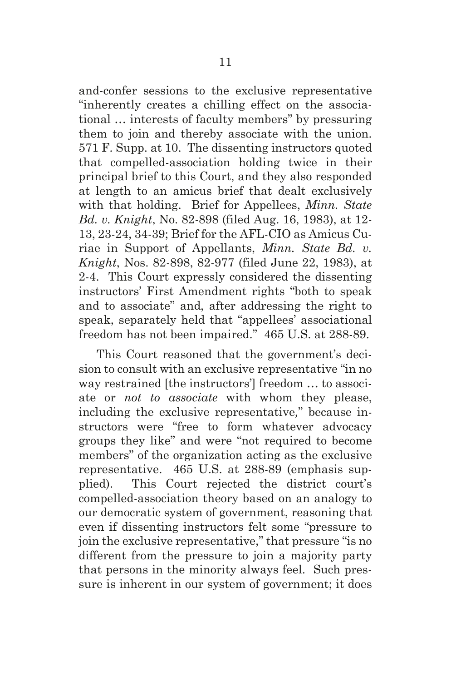and-confer sessions to the exclusive representative "inherently creates a chilling effect on the associational … interests of faculty members" by pressuring them to join and thereby associate with the union. 571 F. Supp. at 10. The dissenting instructors quoted that compelled-association holding twice in their principal brief to this Court, and they also responded at length to an amicus brief that dealt exclusively with that holding. Brief for Appellees, *Minn. State Bd. v. Knight*, No. 82-898 (filed Aug. 16, 1983), at 12- 13, 23-24, 34-39; Brief for the AFL-CIO as Amicus Curiae in Support of Appellants, *Minn. State Bd. v. Knight*, Nos. 82-898, 82-977 (filed June 22, 1983), at 2-4. This Court expressly considered the dissenting instructors' First Amendment rights "both to speak and to associate" and, after addressing the right to speak, separately held that "appellees' associational freedom has not been impaired." 465 U.S. at 288-89.

This Court reasoned that the government's decision to consult with an exclusive representative "in no way restrained [the instructors'] freedom … to associate or *not to associate* with whom they please, including the exclusive representative*,*" because instructors were "free to form whatever advocacy groups they like" and were "not required to become members" of the organization acting as the exclusive representative. 465 U.S. at 288-89 (emphasis supplied). This Court rejected the district court's compelled-association theory based on an analogy to our democratic system of government, reasoning that even if dissenting instructors felt some "pressure to join the exclusive representative," that pressure "is no different from the pressure to join a majority party that persons in the minority always feel. Such pressure is inherent in our system of government; it does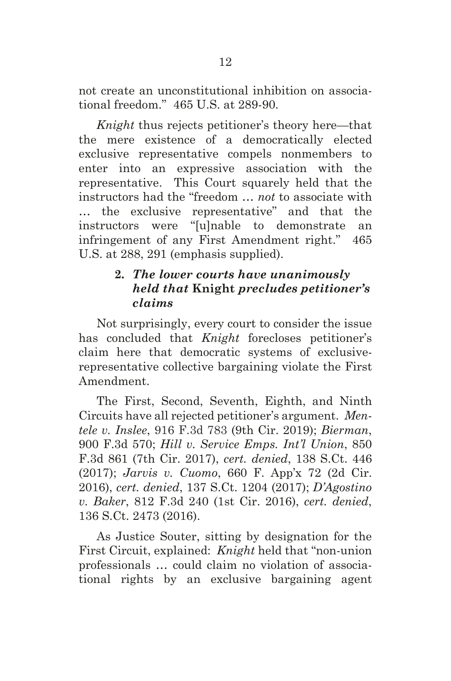not create an unconstitutional inhibition on associational freedom." 465 U.S. at 289-90.

*Knight* thus rejects petitioner's theory here—that the mere existence of a democratically elected exclusive representative compels nonmembers to enter into an expressive association with the representative. This Court squarely held that the instructors had the "freedom … *not* to associate with … the exclusive representative" and that the instructors were "[u]nable to demonstrate an infringement of any First Amendment right." 465 U.S. at 288, 291 (emphasis supplied).

# **2.** *The lower courts have unanimously held that* **Knight** *precludes petitioner's claims*

Not surprisingly, every court to consider the issue has concluded that *Knight* forecloses petitioner's claim here that democratic systems of exclusiverepresentative collective bargaining violate the First Amendment.

The First, Second, Seventh, Eighth, and Ninth Circuits have all rejected petitioner's argument. *Mentele v. Inslee*, 916 F.3d 783 (9th Cir. 2019); *Bierman*, 900 F.3d 570; *Hill v. Service Emps. Int'l Union*, 850 F.3d 861 (7th Cir. 2017), *cert. denied*, 138 S.Ct. 446 (2017); *Jarvis v. Cuomo*, 660 F. App'x 72 (2d Cir. 2016), *cert. denied*, 137 S.Ct. 1204 (2017); *D'Agostino v. Baker*, 812 F.3d 240 (1st Cir. 2016), *cert. denied*, 136 S.Ct. 2473 (2016).

As Justice Souter, sitting by designation for the First Circuit, explained: *Knight* held that "non-union professionals … could claim no violation of associational rights by an exclusive bargaining agent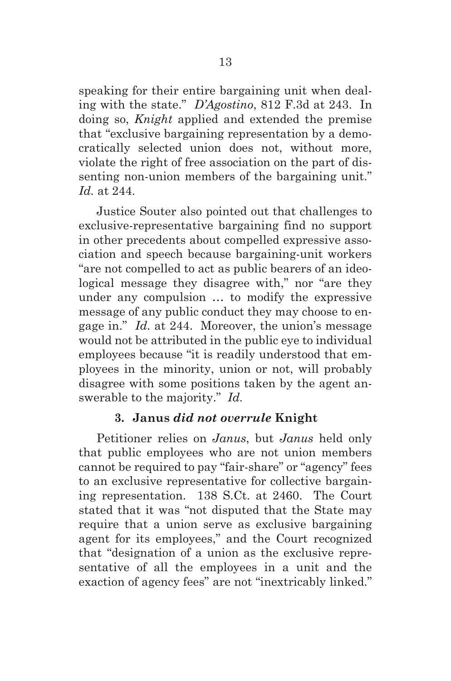speaking for their entire bargaining unit when dealing with the state." *D'Agostino*, 812 F.3d at 243. In doing so, *Knight* applied and extended the premise that "exclusive bargaining representation by a democratically selected union does not, without more, violate the right of free association on the part of dissenting non-union members of the bargaining unit." *Id.* at 244.

Justice Souter also pointed out that challenges to exclusive-representative bargaining find no support in other precedents about compelled expressive association and speech because bargaining-unit workers "are not compelled to act as public bearers of an ideological message they disagree with," nor "are they under any compulsion … to modify the expressive message of any public conduct they may choose to engage in." *Id.* at 244. Moreover, the union's message would not be attributed in the public eye to individual employees because "it is readily understood that employees in the minority, union or not, will probably disagree with some positions taken by the agent answerable to the majority." *Id.*

#### **3. Janus** *did not overrule* **Knight**

Petitioner relies on *Janus*, but *Janus* held only that public employees who are not union members cannot be required to pay "fair-share" or "agency" fees to an exclusive representative for collective bargaining representation. 138 S.Ct. at 2460. The Court stated that it was "not disputed that the State may require that a union serve as exclusive bargaining agent for its employees," and the Court recognized that "designation of a union as the exclusive representative of all the employees in a unit and the exaction of agency fees" are not "inextricably linked."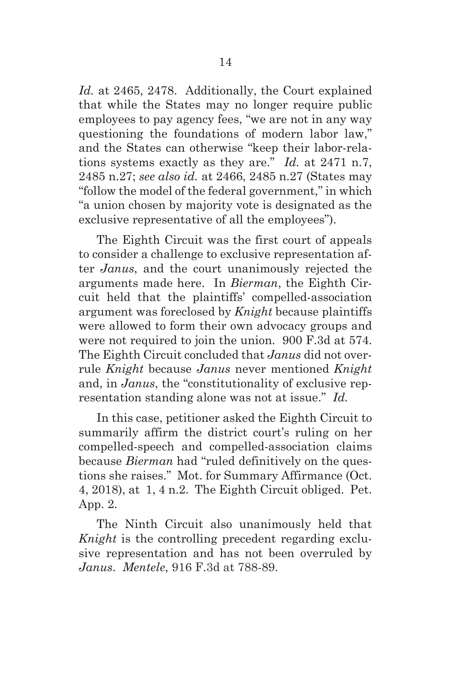*Id.* at 2465, 2478. Additionally, the Court explained that while the States may no longer require public employees to pay agency fees, "we are not in any way questioning the foundations of modern labor law," and the States can otherwise "keep their labor-relations systems exactly as they are." *Id.* at 2471 n.7, 2485 n.27; *see also id.* at 2466, 2485 n.27 (States may "follow the model of the federal government," in which "a union chosen by majority vote is designated as the exclusive representative of all the employees").

The Eighth Circuit was the first court of appeals to consider a challenge to exclusive representation after *Janus*, and the court unanimously rejected the arguments made here. In *Bierman*, the Eighth Circuit held that the plaintiffs' compelled-association argument was foreclosed by *Knight* because plaintiffs were allowed to form their own advocacy groups and were not required to join the union. 900 F.3d at 574. The Eighth Circuit concluded that *Janus* did not overrule *Knight* because *Janus* never mentioned *Knight* and, in *Janus*, the "constitutionality of exclusive representation standing alone was not at issue." *Id.*

In this case, petitioner asked the Eighth Circuit to summarily affirm the district court's ruling on her compelled-speech and compelled-association claims because *Bierman* had "ruled definitively on the questions she raises." Mot. for Summary Affirmance (Oct. 4, 2018), at 1, 4 n.2. The Eighth Circuit obliged. Pet. App. 2.

The Ninth Circuit also unanimously held that *Knight* is the controlling precedent regarding exclusive representation and has not been overruled by *Janus*. *Mentele*, 916 F.3d at 788-89.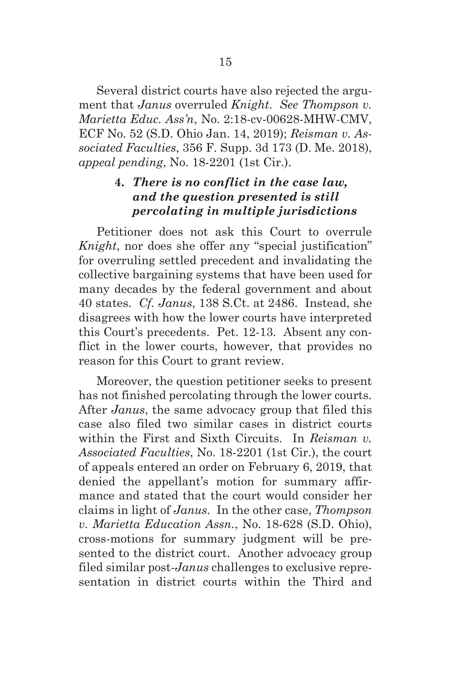Several district courts have also rejected the argument that *Janus* overruled *Knight*. *See Thompson v. Marietta Educ. Ass'n*, No. 2:18-cv-00628-MHW-CMV, ECF No. 52 (S.D. Ohio Jan. 14, 2019); *Reisman v. Associated Faculties*, 356 F. Supp. 3d 173 (D. Me. 2018), *appeal pending*, No. 18-2201 (1st Cir.).

# **4.** *There is no conflict in the case law, and the question presented is still percolating in multiple jurisdictions*

Petitioner does not ask this Court to overrule *Knight*, nor does she offer any "special justification" for overruling settled precedent and invalidating the collective bargaining systems that have been used for many decades by the federal government and about 40 states. *Cf. Janus*, 138 S.Ct. at 2486. Instead, she disagrees with how the lower courts have interpreted this Court's precedents. Pet. 12-13. Absent any conflict in the lower courts, however, that provides no reason for this Court to grant review.

Moreover, the question petitioner seeks to present has not finished percolating through the lower courts. After *Janus*, the same advocacy group that filed this case also filed two similar cases in district courts within the First and Sixth Circuits. In *Reisman v. Associated Faculties*, No. 18-2201 (1st Cir.), the court of appeals entered an order on February 6, 2019, that denied the appellant's motion for summary affirmance and stated that the court would consider her claims in light of *Janus*. In the other case, *Thompson v. Marietta Education Assn.*, No. 18-628 (S.D. Ohio), cross-motions for summary judgment will be presented to the district court. Another advocacy group filed similar post-*Janus* challenges to exclusive representation in district courts within the Third and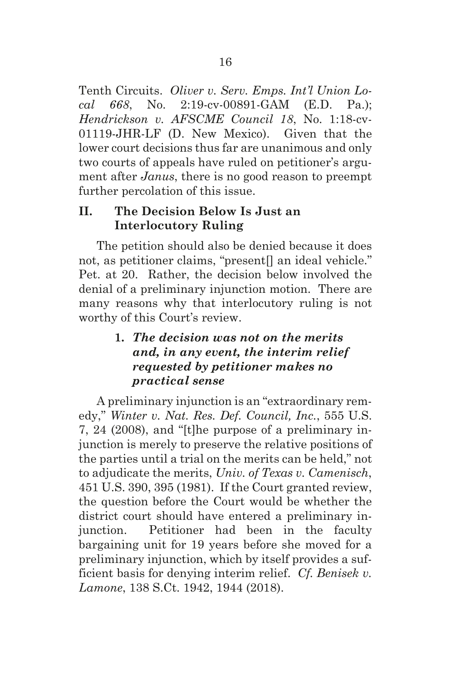Tenth Circuits. *Oliver v. Serv. Emps. Int'l Union Local 668*, No. 2:19-cv-00891-GAM (E.D. Pa.); *Hendrickson v. AFSCME Council 18*, No. 1:18-cv-01119-JHR-LF (D. New Mexico). Given that the lower court decisions thus far are unanimous and only two courts of appeals have ruled on petitioner's argument after *Janus*, there is no good reason to preempt further percolation of this issue.

# **II. The Decision Below Is Just an Interlocutory Ruling**

The petition should also be denied because it does not, as petitioner claims, "present[] an ideal vehicle." Pet. at 20. Rather, the decision below involved the denial of a preliminary injunction motion. There are many reasons why that interlocutory ruling is not worthy of this Court's review.

# **1.** *The decision was not on the merits and, in any event, the interim relief requested by petitioner makes no practical sense*

A preliminary injunction is an "extraordinary remedy," *Winter v. Nat. Res. Def. Council, Inc.*, 555 U.S. 7, 24 (2008), and "[t]he purpose of a preliminary injunction is merely to preserve the relative positions of the parties until a trial on the merits can be held," not to adjudicate the merits, *Univ. of Texas v. Camenisch*, 451 U.S. 390, 395 (1981). If the Court granted review, the question before the Court would be whether the district court should have entered a preliminary injunction. Petitioner had been in the faculty bargaining unit for 19 years before she moved for a preliminary injunction, which by itself provides a sufficient basis for denying interim relief. *Cf. Benisek v. Lamone*, 138 S.Ct. 1942, 1944 (2018).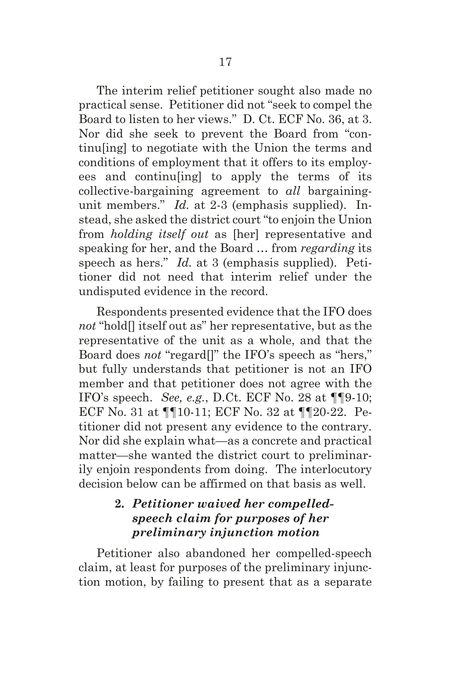The interim relief petitioner sought also made no practical sense. Petitioner did not "seek to compel the Board to listen to her views." D. Ct. ECF No. 36, at 3. Nor did she seek to prevent the Board from "continu[ing] to negotiate with the Union the terms and conditions of employment that it offers to its employees and continu[ing] to apply the terms of its collective-bargaining agreement to *all* bargainingunit members." *Id.* at 2-3 (emphasis supplied). Instead, she asked the district court "to enjoin the Union from *holding itself out* as [her] representative and speaking for her, and the Board … from *regarding* its speech as hers." *Id.* at 3 (emphasis supplied). Petitioner did not need that interim relief under the undisputed evidence in the record.

Respondents presented evidence that the IFO does *not* "hold[] itself out as" her representative, but as the representative of the unit as a whole, and that the Board does *not* "regard[]" the IFO's speech as "hers," but fully understands that petitioner is not an IFO member and that petitioner does not agree with the IFO's speech. *See, e.g.*, D.Ct. ECF No. 28 at ¶¶9-10; ECF No. 31 at ¶¶10-11; ECF No. 32 at ¶¶20-22. Petitioner did not present any evidence to the contrary. Nor did she explain what—as a concrete and practical matter—she wanted the district court to preliminarily enjoin respondents from doing. The interlocutory decision below can be affirmed on that basis as well.

### **2.** *Petitioner waived her compelledspeech claim for purposes of her preliminary injunction motion*

Petitioner also abandoned her compelled-speech claim, at least for purposes of the preliminary injunction motion, by failing to present that as a separate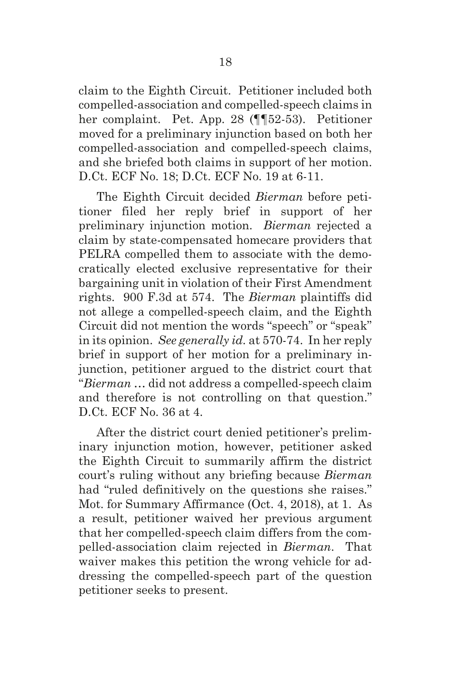claim to the Eighth Circuit. Petitioner included both compelled-association and compelled-speech claims in her complaint. Pet. App. 28 (¶¶52-53). Petitioner moved for a preliminary injunction based on both her compelled-association and compelled-speech claims, and she briefed both claims in support of her motion. D.Ct. ECF No. 18; D.Ct. ECF No. 19 at 6-11.

The Eighth Circuit decided *Bierman* before petitioner filed her reply brief in support of her preliminary injunction motion. *Bierman* rejected a claim by state-compensated homecare providers that PELRA compelled them to associate with the democratically elected exclusive representative for their bargaining unit in violation of their First Amendment rights. 900 F.3d at 574. The *Bierman* plaintiffs did not allege a compelled-speech claim, and the Eighth Circuit did not mention the words "speech" or "speak" in its opinion. *See generally id.* at 570-74. In her reply brief in support of her motion for a preliminary injunction, petitioner argued to the district court that "*Bierman* … did not address a compelled-speech claim and therefore is not controlling on that question." D.Ct. ECF No. 36 at 4.

After the district court denied petitioner's preliminary injunction motion, however, petitioner asked the Eighth Circuit to summarily affirm the district court's ruling without any briefing because *Bierman* had "ruled definitively on the questions she raises." Mot. for Summary Affirmance (Oct. 4, 2018), at 1. As a result, petitioner waived her previous argument that her compelled-speech claim differs from the compelled-association claim rejected in *Bierman*. That waiver makes this petition the wrong vehicle for addressing the compelled-speech part of the question petitioner seeks to present.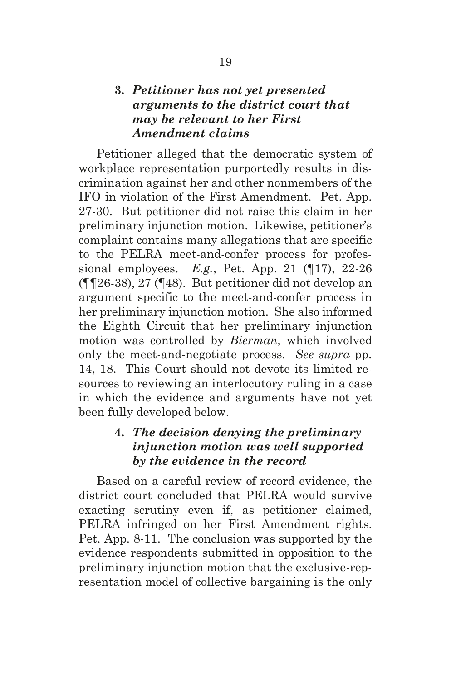#### **3.** *Petitioner has not yet presented arguments to the district court that may be relevant to her First Amendment claims*

Petitioner alleged that the democratic system of workplace representation purportedly results in discrimination against her and other nonmembers of the IFO in violation of the First Amendment. Pet. App. 27-30. But petitioner did not raise this claim in her preliminary injunction motion. Likewise, petitioner's complaint contains many allegations that are specific to the PELRA meet-and-confer process for professional employees. *E.g.*, Pet. App. 21 (¶17), 22-26 (¶¶26-38), 27 (¶48). But petitioner did not develop an argument specific to the meet-and-confer process in her preliminary injunction motion. She also informed the Eighth Circuit that her preliminary injunction motion was controlled by *Bierman*, which involved only the meet-and-negotiate process. *See supra* pp. 14, 18. This Court should not devote its limited resources to reviewing an interlocutory ruling in a case in which the evidence and arguments have not yet been fully developed below.

#### **4.** *The decision denying the preliminary injunction motion was well supported by the evidence in the record*

Based on a careful review of record evidence, the district court concluded that PELRA would survive exacting scrutiny even if, as petitioner claimed, PELRA infringed on her First Amendment rights. Pet. App. 8-11. The conclusion was supported by the evidence respondents submitted in opposition to the preliminary injunction motion that the exclusive-representation model of collective bargaining is the only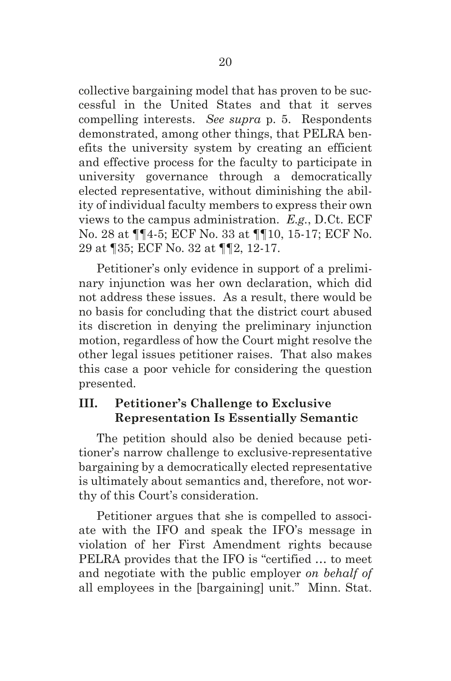collective bargaining model that has proven to be successful in the United States and that it serves compelling interests. *See supra* p. 5. Respondents demonstrated, among other things, that PELRA benefits the university system by creating an efficient and effective process for the faculty to participate in university governance through a democratically elected representative, without diminishing the ability of individual faculty members to express their own views to the campus administration. *E.g.*, D.Ct. ECF No. 28 at ¶¶4-5; ECF No. 33 at ¶¶10, 15-17; ECF No. 29 at ¶35; ECF No. 32 at ¶¶2, 12-17.

Petitioner's only evidence in support of a preliminary injunction was her own declaration, which did not address these issues. As a result, there would be no basis for concluding that the district court abused its discretion in denying the preliminary injunction motion, regardless of how the Court might resolve the other legal issues petitioner raises. That also makes this case a poor vehicle for considering the question presented.

# **III. Petitioner's Challenge to Exclusive Representation Is Essentially Semantic**

The petition should also be denied because petitioner's narrow challenge to exclusive-representative bargaining by a democratically elected representative is ultimately about semantics and, therefore, not worthy of this Court's consideration.

Petitioner argues that she is compelled to associate with the IFO and speak the IFO's message in violation of her First Amendment rights because PELRA provides that the IFO is "certified … to meet and negotiate with the public employer *on behalf of* all employees in the [bargaining] unit." Minn. Stat.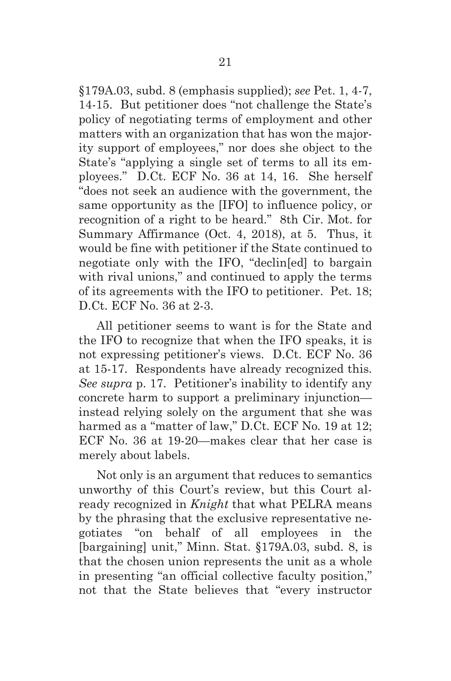§179A.03, subd. 8 (emphasis supplied); *see* Pet. 1, 4-7, 14-15. But petitioner does "not challenge the State's policy of negotiating terms of employment and other matters with an organization that has won the majority support of employees," nor does she object to the State's "applying a single set of terms to all its employees." D.Ct. ECF No. 36 at 14, 16. She herself "does not seek an audience with the government, the same opportunity as the [IFO] to influence policy, or recognition of a right to be heard." 8th Cir. Mot. for Summary Affirmance (Oct. 4, 2018), at 5. Thus, it would be fine with petitioner if the State continued to negotiate only with the IFO, "declin[ed] to bargain with rival unions," and continued to apply the terms of its agreements with the IFO to petitioner. Pet. 18; D.Ct. ECF No. 36 at 2-3.

All petitioner seems to want is for the State and the IFO to recognize that when the IFO speaks, it is not expressing petitioner's views. D.Ct. ECF No. 36 at 15-17. Respondents have already recognized this. *See supra* p. 17. Petitioner's inability to identify any concrete harm to support a preliminary injunction instead relying solely on the argument that she was harmed as a "matter of law," D.Ct. ECF No. 19 at 12; ECF No. 36 at 19-20—makes clear that her case is merely about labels.

Not only is an argument that reduces to semantics unworthy of this Court's review, but this Court already recognized in *Knight* that what PELRA means by the phrasing that the exclusive representative negotiates "on behalf of all employees in the [bargaining] unit," Minn. Stat. §179A.03, subd. 8, is that the chosen union represents the unit as a whole in presenting "an official collective faculty position," not that the State believes that "every instructor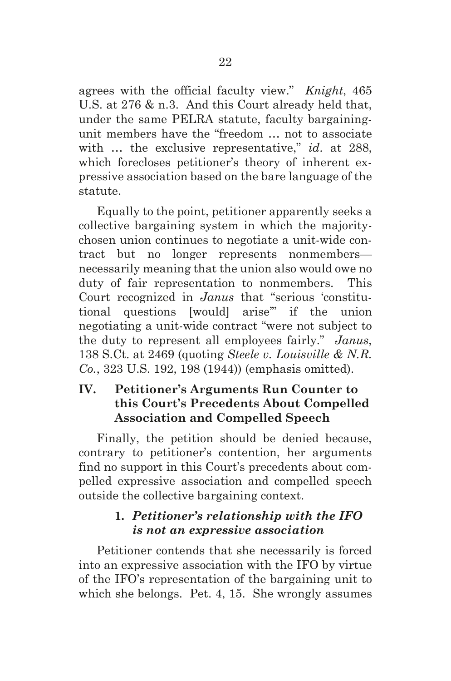agrees with the official faculty view." *Knight*, 465 U.S. at 276 & n.3. And this Court already held that, under the same PELRA statute, faculty bargainingunit members have the "freedom … not to associate with … the exclusive representative," *id*. at 288, which forecloses petitioner's theory of inherent expressive association based on the bare language of the statute.

Equally to the point, petitioner apparently seeks a collective bargaining system in which the majoritychosen union continues to negotiate a unit-wide contract but no longer represents nonmembers necessarily meaning that the union also would owe no duty of fair representation to nonmembers. This Court recognized in *Janus* that "serious 'constitutional questions [would] arise'" if the union negotiating a unit-wide contract "were not subject to the duty to represent all employees fairly." *Janus*, 138 S.Ct. at 2469 (quoting *Steele v. Louisville & N.R. Co.*, 323 U.S. 192, 198 (1944)) (emphasis omitted).

#### **IV. Petitioner's Arguments Run Counter to this Court's Precedents About Compelled Association and Compelled Speech**

Finally, the petition should be denied because, contrary to petitioner's contention, her arguments find no support in this Court's precedents about compelled expressive association and compelled speech outside the collective bargaining context.

# **1.** *Petitioner's relationship with the IFO is not an expressive association*

Petitioner contends that she necessarily is forced into an expressive association with the IFO by virtue of the IFO's representation of the bargaining unit to which she belongs. Pet. 4, 15. She wrongly assumes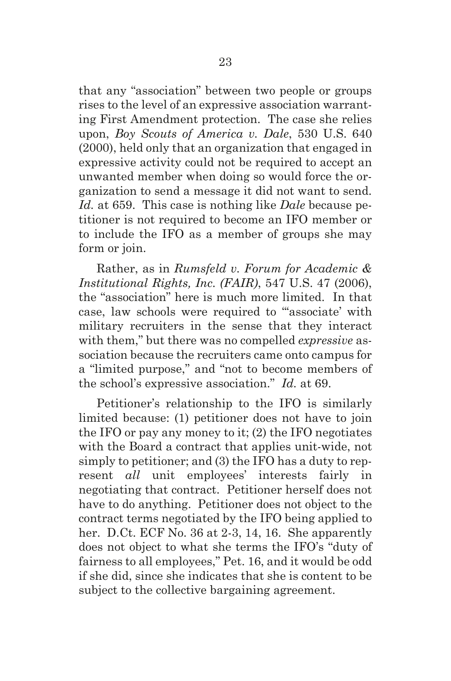that any "association" between two people or groups rises to the level of an expressive association warranting First Amendment protection. The case she relies upon, *Boy Scouts of America v. Dale*, 530 U.S. 640 (2000), held only that an organization that engaged in expressive activity could not be required to accept an unwanted member when doing so would force the organization to send a message it did not want to send. *Id.* at 659. This case is nothing like *Dale* because petitioner is not required to become an IFO member or to include the IFO as a member of groups she may form or join.

Rather, as in *Rumsfeld v. Forum for Academic & Institutional Rights, Inc. (FAIR)*, 547 U.S. 47 (2006), the "association" here is much more limited. In that case, law schools were required to "'associate' with military recruiters in the sense that they interact with them," but there was no compelled *expressive* association because the recruiters came onto campus for a "limited purpose," and "not to become members of the school's expressive association." *Id.* at 69.

Petitioner's relationship to the IFO is similarly limited because: (1) petitioner does not have to join the IFO or pay any money to it; (2) the IFO negotiates with the Board a contract that applies unit-wide, not simply to petitioner; and (3) the IFO has a duty to represent *all* unit employees' interests fairly in negotiating that contract. Petitioner herself does not have to do anything. Petitioner does not object to the contract terms negotiated by the IFO being applied to her. D.Ct. ECF No. 36 at 2-3, 14, 16. She apparently does not object to what she terms the IFO's "duty of fairness to all employees," Pet. 16, and it would be odd if she did, since she indicates that she is content to be subject to the collective bargaining agreement.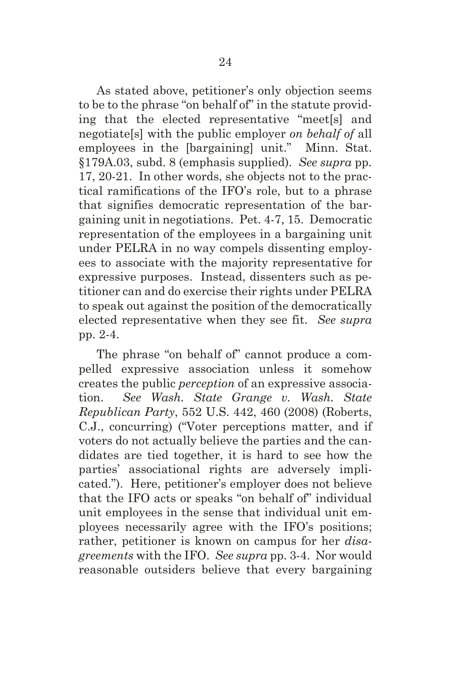As stated above, petitioner's only objection seems to be to the phrase "on behalf of" in the statute providing that the elected representative "meet[s] and negotiate[s] with the public employer *on behalf of* all employees in the [bargaining] unit." Minn. Stat. §179A.03, subd. 8 (emphasis supplied). *See supra* pp. 17, 20-21. In other words, she objects not to the practical ramifications of the IFO's role, but to a phrase that signifies democratic representation of the bargaining unit in negotiations. Pet. 4-7, 15. Democratic representation of the employees in a bargaining unit under PELRA in no way compels dissenting employees to associate with the majority representative for expressive purposes. Instead, dissenters such as petitioner can and do exercise their rights under PELRA to speak out against the position of the democratically elected representative when they see fit. *See supra* pp. 2-4.

The phrase "on behalf of" cannot produce a compelled expressive association unless it somehow creates the public *perception* of an expressive association. *See Wash. State Grange v. Wash. State Republican Party*, 552 U.S. 442, 460 (2008) (Roberts, C.J., concurring) ("Voter perceptions matter, and if voters do not actually believe the parties and the candidates are tied together, it is hard to see how the parties' associational rights are adversely implicated."). Here, petitioner's employer does not believe that the IFO acts or speaks "on behalf of" individual unit employees in the sense that individual unit employees necessarily agree with the IFO's positions; rather, petitioner is known on campus for her *disagreements* with the IFO. *See supra* pp. 3-4. Nor would reasonable outsiders believe that every bargaining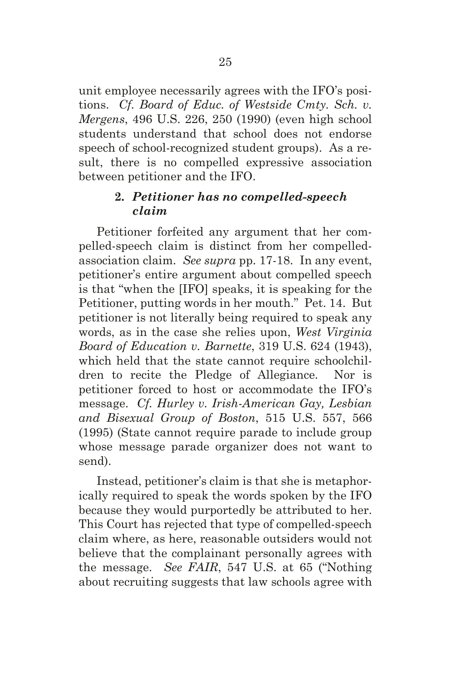unit employee necessarily agrees with the IFO's positions. *Cf. Board of Educ. of Westside Cmty. Sch. v. Mergens*, 496 U.S. 226, 250 (1990) (even high school students understand that school does not endorse speech of school-recognized student groups). As a result, there is no compelled expressive association between petitioner and the IFO.

### **2.** *Petitioner has no compelled-speech claim*

Petitioner forfeited any argument that her compelled-speech claim is distinct from her compelledassociation claim. *See supra* pp. 17-18. In any event, petitioner's entire argument about compelled speech is that "when the [IFO] speaks, it is speaking for the Petitioner, putting words in her mouth." Pet. 14. But petitioner is not literally being required to speak any words, as in the case she relies upon, *West Virginia Board of Education v. Barnette*, 319 U.S. 624 (1943), which held that the state cannot require schoolchildren to recite the Pledge of Allegiance. Nor is petitioner forced to host or accommodate the IFO's message. *Cf. Hurley v. Irish-American Gay, Lesbian and Bisexual Group of Boston*, 515 U.S. 557, 566 (1995) (State cannot require parade to include group whose message parade organizer does not want to send).

Instead, petitioner's claim is that she is metaphorically required to speak the words spoken by the IFO because they would purportedly be attributed to her. This Court has rejected that type of compelled-speech claim where, as here, reasonable outsiders would not believe that the complainant personally agrees with the message. *See FAIR*, 547 U.S. at 65 ("Nothing about recruiting suggests that law schools agree with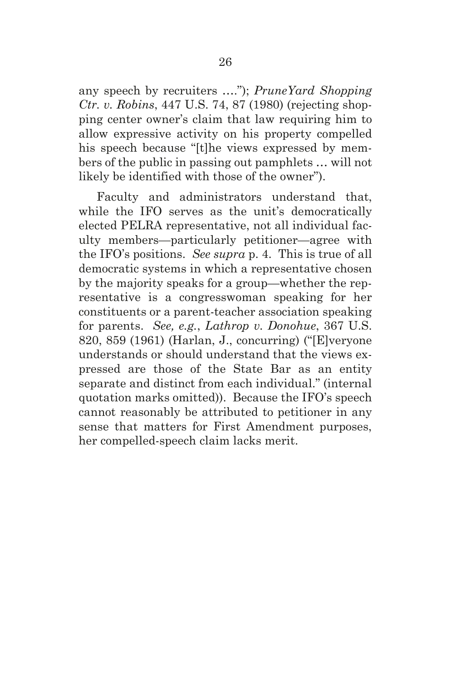any speech by recruiters …."); *PruneYard Shopping Ctr. v. Robins*, 447 U.S. 74, 87 (1980) (rejecting shopping center owner's claim that law requiring him to allow expressive activity on his property compelled his speech because "[t]he views expressed by members of the public in passing out pamphlets … will not likely be identified with those of the owner").

Faculty and administrators understand that, while the IFO serves as the unit's democratically elected PELRA representative, not all individual faculty members—particularly petitioner—agree with the IFO's positions. *See supra* p. 4. This is true of all democratic systems in which a representative chosen by the majority speaks for a group—whether the representative is a congresswoman speaking for her constituents or a parent-teacher association speaking for parents. *See, e.g.*, *Lathrop v. Donohue*, 367 U.S. 820, 859 (1961) (Harlan, J., concurring) ("[E]veryone understands or should understand that the views expressed are those of the State Bar as an entity separate and distinct from each individual." (internal quotation marks omitted)). Because the IFO's speech cannot reasonably be attributed to petitioner in any sense that matters for First Amendment purposes, her compelled-speech claim lacks merit.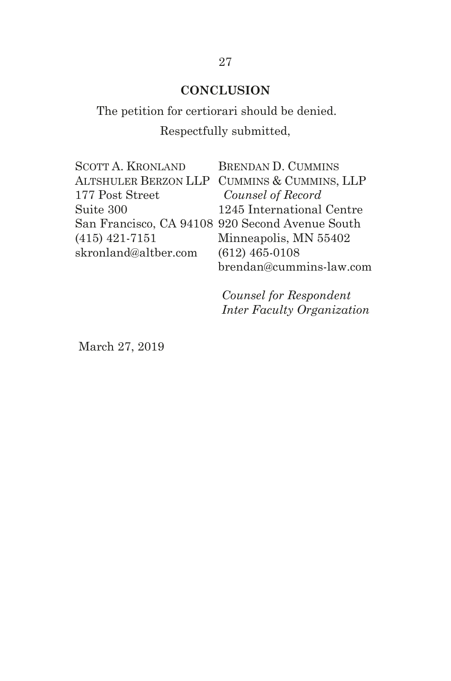# **CONCLUSION**

# The petition for certiorari should be denied. Respectfully submitted,

| <b>SCOTT A. KRONLAND</b> | <b>BRENDAN D. CUMMINS</b>                       |
|--------------------------|-------------------------------------------------|
|                          | ALTSHULER BERZON LLP CUMMINS & CUMMINS, LLP     |
| 177 Post Street          | Counsel of Record                               |
| Suite 300                | 1245 International Centre                       |
|                          | San Francisco, CA 94108 920 Second Avenue South |
| $(415)$ 421-7151         | Minneapolis, MN 55402                           |
| skronland@altber.com     | $(612)$ 465-0108                                |
|                          | brendan@cummins-law.com                         |

*Counsel for Respondent Inter Faculty Organization*

March 27, 2019